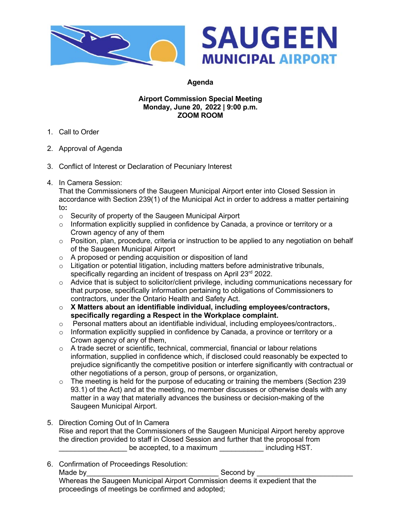



## **Agenda**

## **Airport Commission Special Meeting Monday, June 20, 2022 | 9:00 p.m. ZOOM ROOM**

- 1. Call to Order
- 2. Approval of Agenda
- 3. Conflict of Interest or Declaration of Pecuniary Interest
- 4. In Camera Session:

That the Commissioners of the Saugeen Municipal Airport enter into Closed Session in accordance with Section 239(1) of the Municipal Act in order to address a matter pertaining to**:** 

- o Security of property of the Saugeen Municipal Airport
- o Information explicitly supplied in confidence by Canada, a province or territory or a Crown agency of any of them
- $\circ$  Position, plan, procedure, criteria or instruction to be applied to any negotiation on behalf of the Saugeen Municipal Airport
- o A proposed or pending acquisition or disposition of land
- $\circ$  Litigation or potential litigation, including matters before administrative tribunals, specifically regarding an incident of trespass on April 23rd 2022.
- $\circ$  Advice that is subject to solicitor/client privilege, including communications necessary for that purpose, specifically information pertaining to obligations of Commissioners to contractors, under the Ontario Health and Safety Act.
- o **X Matters about an identifiable individual, including employees/contractors, specifically regarding a Respect in the Workplace complaint.**
- o Personal matters about an identifiable individual, including employees/contractors,.
- $\circ$  Information explicitly supplied in confidence by Canada, a province or territory or a Crown agency of any of them,
- $\circ$  A trade secret or scientific, technical, commercial, financial or labour relations information, supplied in confidence which, if disclosed could reasonably be expected to prejudice significantly the competitive position or interfere significantly with contractual or other negotiations of a person, group of persons, or organization,
- o The meeting is held for the purpose of educating or training the members (Section 239 93.1) of the Act) and at the meeting, no member discusses or otherwise deals with any matter in a way that materially advances the business or decision-making of the Saugeen Municipal Airport.
- 5. Direction Coming Out of In Camera Rise and report that the Commissioners of the Saugeen Municipal Airport hereby approve the direction provided to staff in Closed Session and further that the proposal from be accepted, to a maximum including HST.
- 6. Confirmation of Proceedings Resolution: Made by\_\_\_\_\_\_\_\_\_\_\_\_\_\_\_\_\_\_\_\_\_\_\_\_\_\_\_\_\_\_\_\_\_ Second by \_\_\_\_\_\_\_\_\_\_\_\_\_\_\_\_\_\_\_\_\_\_\_\_ Whereas the Saugeen Municipal Airport Commission deems it expedient that the proceedings of meetings be confirmed and adopted;